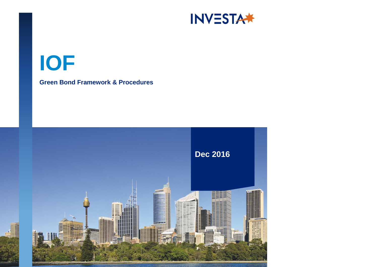

# **IOF**

# **Green Bond Framework & Procedures**

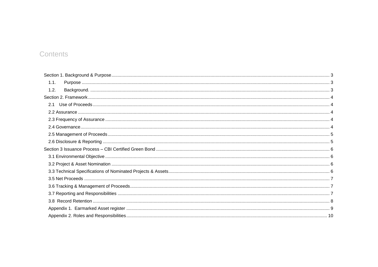# Contents

| 2.1 |  |
|-----|--|
|     |  |
|     |  |
|     |  |
|     |  |
|     |  |
|     |  |
|     |  |
|     |  |
|     |  |
|     |  |
|     |  |
|     |  |
|     |  |
|     |  |
|     |  |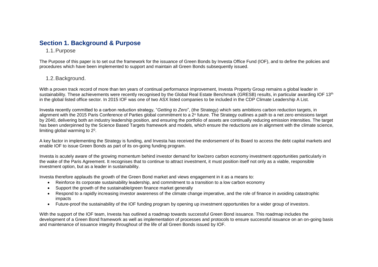# <span id="page-2-1"></span><span id="page-2-0"></span>**Section 1. Background & Purpose**

# 1.1.Purpose

The Purpose of this paper is to set out the framework for the issuance of Green Bonds by Investa Office Fund (IOF), and to define the policies and procedures which have been implemented to support and maintain all Green Bonds subsequently issued.

# <span id="page-2-2"></span>1.2.Background.

With a proven track record of more than ten years of continual performance improvement, Investa Property Group remains a global leader in sustainability. These achievements were recently recognised by the Global Real Estate Benchmark (GRESB) results, in particular awarding IOF 13<sup>th</sup> in the global listed office sector. In 2015 IOF was one of two ASX listed companies to be included in the CDP Climate Leadership A List.

Investa recently committed to a carbon reduction strategy, "*Getting to Zero*", (the Strategy) which sets ambitions carbon reduction targets, in alignment with the 2015 Paris Conference of Parties global commitment to a 2° future. The Strategy outlines a path to a net zero emissions target by 2040, delivering both an industry leadership position, and ensuring the portfolio of assets are continually reducing emission intensities. The target has been underpinned by the Science Based Targets framework and models, which ensure the reductions are in alignment with the climate science, limiting global warming to 2<sup>0</sup>.

A key factor in implementing the Strategy is funding, and Investa has received the endorsement of its Board to access the debt capital markets and enable IOF to issue Green Bonds as part of its on-going funding program.

Investa is acutely aware of the growing momentum behind investor demand for low/zero carbon economy investment opportunities particularly in the wake of the Paris Agreement. It recognises that to continue to attract investment, it must position itself not only as a viable, responsible investment option, but as a leader in sustainability.

Investa therefore applauds the growth of the Green Bond market and views engagement in it as a means to:

- Reinforce its corporate sustainability leadership, and commitment to a transition to a low carbon economy
- Support the growth of the sustainable/green finance market generally
- Respond to a rapidly increasing investor awareness of the climate change imperative, and the role of finance in avoiding catastrophic impacts
- Future-proof the sustainability of the IOF funding program by opening up investment opportunities for a wider group of investors.

With the support of the IOF team, Investa has outlined a roadmap towards successful Green Bond issuance. This roadmap includes the development of a Green Bond framework as well as implementation of processes and protocols to ensure successful issuance on an on-going basis and maintenance of issuance integrity throughout of the life of all Green Bonds issued by IOF.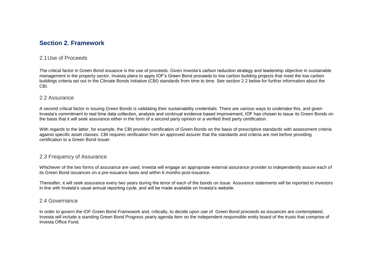# <span id="page-3-0"></span>**Section 2. Framework**

## <span id="page-3-1"></span>2.1Use of Proceeds

The critical factor in Green Bond issuance is the use of proceeds. Given Investa's carbon reduction strategy and leadership objective in sustainable management in the property sector, Investa plans to apply IOF's Green Bond proceeds to low carbon building projects that meet the low carbon buildings criteria set out in the Climate Bonds Initiative (CBI) standards from time to time. See section 2.2 below for further information about the CBI.

#### <span id="page-3-2"></span>2.2 Assurance

A second critical factor in issuing Green Bonds is validating their sustainability credentials. There are various ways to undertake this, and given Investa's commitment to real time data collection, analysis and continual evidence based improvement, IOF has chosen to issue its Green Bonds on the basis that it will seek assurance either in the form of a second party opinion or a verified third party certification.

With regards to the latter, for example, the CBI provides certification of Green Bonds on the basis of prescriptive standards with assessment criteria against specific asset classes. CBI requires verification from an approved assurer that the standards and criteria are met before providing certification to a Green Bond issuer.

## <span id="page-3-3"></span>2.3 Frequency of Assurance

Whichever of the two forms of assurance are used, Investa will engage an appropriate external assurance provider to independently assure each of its Green Bond issuances on a pre-issuance basis and within 6 months post-issuance.

Thereafter, it will seek assurance every two years during the tenor of each of the bonds on issue. Assurance statements will be reported to investors in line with Investa's usual annual reporting cycle, and will be made available on Investa's website.

#### <span id="page-3-4"></span>2.4 Governance

In order to govern the IOF Green Bond Framework and, critically, to decide upon use of Green Bond proceeds as issuances are contemplated, Investa will include a standing Green Bond Progress yearly agenda item on the independent responsible entity board of the trusts that comprise of Investa Office Fund.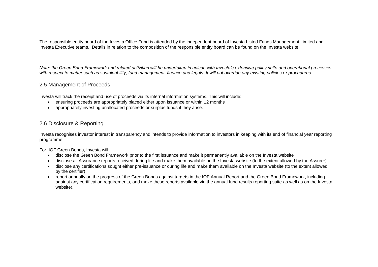The responsible entity board of the Investa Office Fund is attended by the independent board of Investa Listed Funds Management Limited and Investa Executive teams. Details in relation to the composition of the responsible entity board can be found on the Investa website.

*Note: the Green Bond Framework and related activities will be undertaken in unison with Investa's extensive policy suite and operational processes with respect to matter such as sustainability, fund management, finance and legals. It will not override any existing policies or procedures.*

## <span id="page-4-0"></span>2.5 Management of Proceeds

Investa will track the receipt and use of proceeds via its internal information systems. This will include:

- ensuring proceeds are appropriately placed either upon issuance or within 12 months
- appropriately investing unallocated proceeds or surplus funds if they arise.

# <span id="page-4-1"></span>2.6 Disclosure & Reporting

Investa recognises investor interest in transparency and intends to provide information to investors in keeping with its end of financial year reporting programme.

For, IOF Green Bonds, Investa will:

- disclose the Green Bond Framework prior to the first issuance and make it permanently available on the Investa website
- disclose all Assurance reports received during life and make them available on the Investa website (to the extent allowed by the Assurer).
- disclose any certifications sought either pre-issuance or during life and make them available on the Investa website (to the extent allowed by the certifier)
- report annually on the progress of the Green Bonds against targets in the IOF Annual Report and the Green Bond Framework, including against any certification requirements, and make these reports available via the annual fund results reporting suite as well as on the Investa website).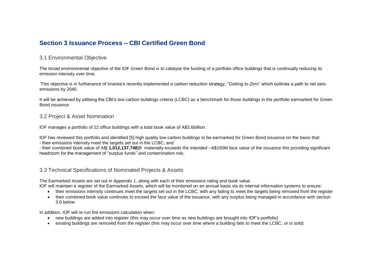# <span id="page-5-0"></span>**Section 3 Issuance Process – CBI Certified Green Bond**

## <span id="page-5-1"></span>3.1 Environmental Objective

The broad environmental objective of the IOF Green Bond is to catalyse the funding of a portfolio office buildings that is continually reducing its emission intensity over time.

This objective is in furtherance of Investa's recently implemented a carbon reduction strategy, "*Getting to Zero*" which outlines a path to net zero emissions by 2040.

It will be achieved by utilising the CBI's low carbon buildings criteria (LCBC) as a benchmark for those buildings in the portfolio earmarked for Green Bond issuance.

#### <span id="page-5-2"></span>3.2 Project & Asset Nomination

IOF manages a portfolio of 22 office buildings with a total book value of A\$3.6billion.

IOF has reviewed this portfolio and identified [5] high quality low carbon buildings to be earmarked for Green Bond issuance on the basis that: - their emissions intensity meet the targets set out in the LCBC; and

- their combined book value of A\$[ **1,012,137,748**]B materially exceeds the intended ~A\$150M face value of the issuance this providing significant headroom for the management of "surplus funds" and contamination risk;

#### <span id="page-5-3"></span>3.3 Technical Specifications of Nominated Projects & Assets

The Earmarked Assets are set out in Appendix 1, along with each of their emissions rating and book value.

IOF will maintain a register of the Earmarked Assets, which will be monitored on an annual basis via its internal information systems to ensure:

- their emissions intensity continues meet the targets set out in the LCBC, with any failing to meet the targets being removed from the register
- their combined book value continues to exceed the face value of the issuance, with any surplus being managed in accordance with section 3.6 below

In addition, IOF will re-run the emissions calculation when:

- new buildings are added into register (this may occur over time as new buildings are brought into IOF's portfolio)
- existing buildings are removed from the register (this may occur over time where a building fails to meet the LCBC, or is sold)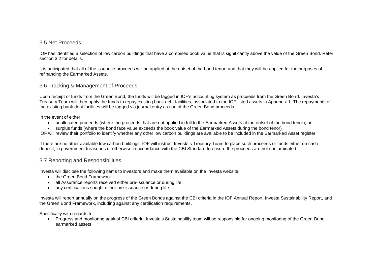## <span id="page-6-0"></span>3.5 Net Proceeds

IOF has identified a selection of low carbon buildings that have a combined book value that is significantly above the value of the Green Bond. Refer section 3.2 for details.

It is anticipated that all of the issuance proceeds will be applied at the outset of the bond tenor, and that they will be applied for the purposes of refinancing the Earmarked Assets.

## <span id="page-6-1"></span>3.6 Tracking & Management of Proceeds

Upon receipt of funds from the Green Bond, the funds will be tagged in IOF's accounting system as proceeds from the Green Bond. Investa's Treasury Team will then apply the funds to repay existing bank debt facilities, associated to the IOF listed assets in Appendix 1. The repayments of the existing bank debt facilities will be tagged via journal entry as use of the Green Bond proceeds.

In the event of either:

- unallocated proceeds (where the proceeds that are not applied in full to the Earmarked Assets at the outset of the bond tenor); or
- surplus funds (where the bond face value exceeds the book value of the Earmarked Assets during the bond tenor)

IOF will review their portfolio to identify whether any other low carbon buildings are available to be included in the Earmarked Asset register.

If there are no other available low carbon buildings, IOF will instruct Investa's Treasury Team to place such proceeds or funds either on cash deposit, in government treasuries or otherwise in accordance with the CBI Standard to ensure the proceeds are not contaminated.

## <span id="page-6-2"></span>3.7 Reporting and Responsibilities

Investa will disclose the following items to investors and make them available on the Investa website:

- the Green Bond Framework
- all Assurance reports received either pre-issuance or during life
- any certifications sought either pre-issuance or during life

Investa will report annually on the progress of the Green Bonds against the CBI criteria in the IOF Annual Report, Investa Sustainability Report, and the Green Bond Framework, including against any certification requirements.

Specifically with regards to:

 Progress and monitoring against CBI criteria, Investa's Sustainability team will be responsible for ongoing monitoring of the Green Bond earmarked assets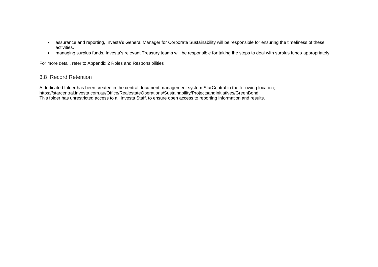- assurance and reporting, Investa's General Manager for Corporate Sustainability will be responsible for ensuring the timeliness of these activities.
- managing surplus funds, Investa's relevant Treasury teams will be responsible for taking the steps to deal with surplus funds appropriately.

For more detail, refer to Appendix 2 Roles and Responsibilities

# <span id="page-7-0"></span>3.8 Record Retention

A dedicated folder has been created in the central document management system StarCentral in the following location; https://starcentral.investa.com.au/Office/RealestateOperations/Sustainability/ProjectsandInitiatives/GreenBond This folder has unrestricted access to all Investa Staff, to ensure open access to reporting information and results.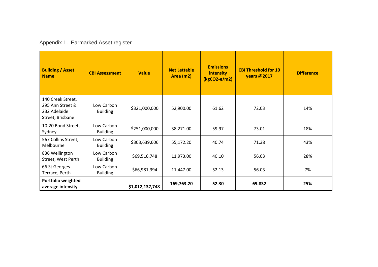# <span id="page-8-0"></span>Appendix 1. Earmarked Asset register

| <b>Building / Asset</b><br><b>Name</b>                                    | <b>CBI Assessment</b>         | <b>Value</b>    | <b>Net Lettable</b><br>Area (m2) | <b>Emissions</b><br><b>intensity</b><br>$(kgCO2-e/m2)$ | <b>CBI Threshold for 10</b><br><b>years @2017</b> | <b>Difference</b> |
|---------------------------------------------------------------------------|-------------------------------|-----------------|----------------------------------|--------------------------------------------------------|---------------------------------------------------|-------------------|
| 140 Creek Street,<br>295 Ann Street &<br>232 Adelaide<br>Street, Brisbane | Low Carbon<br><b>Building</b> | \$321,000,000   | 52,900.00                        | 61.62                                                  | 72.03                                             | 14%               |
| 10-20 Bond Street,<br>Sydney                                              | Low Carbon<br><b>Building</b> | \$251,000,000   | 38,271.00                        | 59.97                                                  | 73.01                                             | 18%               |
| 567 Collins Street,<br>Melbourne                                          | Low Carbon<br><b>Building</b> | \$303,639,606   | 55,172.20                        | 40.74                                                  | 71.38                                             | 43%               |
| 836 Wellington<br>Street, West Perth                                      | Low Carbon<br><b>Building</b> | \$69,516,748    | 11,973.00                        | 40.10                                                  | 56.03                                             | 28%               |
| 66 St Georges<br>Terrace, Perth                                           | Low Carbon<br><b>Building</b> | \$66,981,394    | 11,447.00                        | 52.13                                                  | 56.03                                             | 7%                |
| Portfolio weighted<br>average intensity                                   |                               | \$1,012,137,748 | 169,763.20                       | 52.30                                                  | 69.832                                            | 25%               |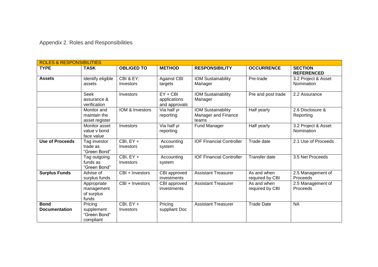<span id="page-9-0"></span>Appendix 2. Roles and Responsibilities

| <b>ROLES &amp; RESPONSIBILITIES</b> |                                                    |                             |                                             |                                                    |                                |                                     |  |  |
|-------------------------------------|----------------------------------------------------|-----------------------------|---------------------------------------------|----------------------------------------------------|--------------------------------|-------------------------------------|--|--|
| <b>TYPE</b>                         | <b>TASK</b>                                        | <b>OBLIGED TO</b>           | <b>METHOD</b>                               | <b>RESPONSIBILITY</b>                              | <b>OCCURRENCE</b>              | <b>SECTION</b><br><b>REFERENCED</b> |  |  |
| <b>Assets</b>                       | Identify eligible<br>assets                        | CBI & EY;<br>Investors      | <b>Against CBI</b><br>targets               | <b>IOM Sustainability</b><br>Manager               | Pre-trade                      | 3.2 Project & Asset<br>Nomination   |  |  |
|                                     | <b>Seek</b><br>assurance &<br>verification         | Investors                   | $EY + CBI$<br>applications<br>and approvals | IOM Sustainability<br>Manager                      | Pre and post trade             | 2.2 Assurance                       |  |  |
|                                     | Monitor and<br>maintain the<br>asset register      | IOM & Investors             | Via half yr<br>reporting                    | IOM Sustainability<br>Manager and Finance<br>teams | Half yearly                    | 2.6 Disclosure &<br>Reporting       |  |  |
|                                     | Monitor asset<br>value v bond<br>face value        | Investors                   | Via half yr<br>reporting                    | Fund Manager                                       | Half yearly                    | 3.2 Project & Asset<br>Nomination   |  |  |
| <b>Use of Proceeds</b>              | Tag investor<br>trade as<br>"Green Bond"           | $CBI, EY +$<br>Investors    | Accounting<br>system                        | <b>IOF Financial Controller</b>                    | Trade date                     | 2.1 Use of Proceeds                 |  |  |
|                                     | Tag outgoing<br>funds as<br>"Green Bond"           | $CBI, EY +$<br>Investors    | Accounting<br>system                        | <b>IOF Financial Controller</b>                    | <b>Transfer date</b>           | 3.5 Net Proceeds                    |  |  |
| <b>Surplus Funds</b>                | Advise of<br>surplus funds                         | CBI + Investors             | CBI approved<br>investments                 | <b>Assistant Treasurer</b>                         | As and when<br>required by CBI | 2.5 Management of<br>Proceeds       |  |  |
|                                     | Appropriate<br>management<br>of surplus<br>funds   | CBI + Investors             | CBI approved<br>investments                 | <b>Assistant Treasurer</b>                         | As and when<br>required by CBI | 2.5 Management of<br>Proceeds       |  |  |
| <b>Bond</b><br><b>Documentation</b> | Pricing<br>supplement<br>"Green Bond"<br>compliant | $CBI$ , $EY +$<br>Investors | Pricing<br>suppliant Doc                    | <b>Assistant Treasurer</b>                         | <b>Trade Date</b>              | <b>NA</b>                           |  |  |